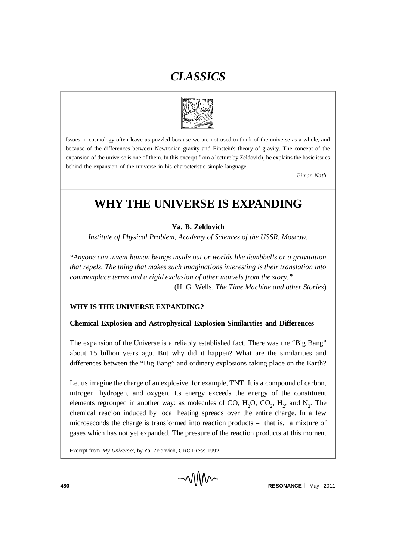

Issues in cosmology often leave us puzzled because we are not used to think of the universe as a whole, and because of the differences between Newtonian gravity and Einstein's theory of gravity. The concept of the expansion of the universe is one of them. In this excerpt from a lecture by Zeldovich, he explains the basic issues behind the expansion of the universe in his characteristic simple language.

*Biman Nath*

## **WHY THE UNIVERSE IS EXPANDING**

#### **Ya. B. Zeldovich**

*Institute of Physical Problem, Academy of Sciences of the USSR, Moscow.*

*"Anyone can invent human beings inside out or worlds like dumbbells or a gravitation that repels. The thing that makes such imaginations interesting is their translation into commonplace terms and a rigid exclusion of other marvels from the story."* (H. G. Wells, *The Time Machine and other Stories*)

#### **WHY IS THE UNIVERSE EXPANDING?**

**Chemical Explosion and Astrophysical Explosion Similarities and Differences**

The expansion of the Universe is a reliably established fact. There was the "Big Bang" about 15 billion years ago. But why did it happen? What are the similarities and differences between the "Big Bang" and ordinary explosions taking place on the Earth?

Let us imagine the charge of an explosive, for example, TNT. It is a compound of carbon, nitrogen, hydrogen, and oxygen. Its energy exceeds the energy of the constituent elements regrouped in another way: as molecules of CO,  $H_2O$ ,  $CO_2$ ,  $H_2$ , and  $N_2$ . The chemical reacion induced by local heating spreads over the entire charge. In a few microseconds the charge is transformed into reaction products – that is, a mixture of gases which has not yet expanded. The pressure of the reaction products at this moment

Excerpt from '*My Universe*', by Ya. Zeldovich, CRC Press 1992.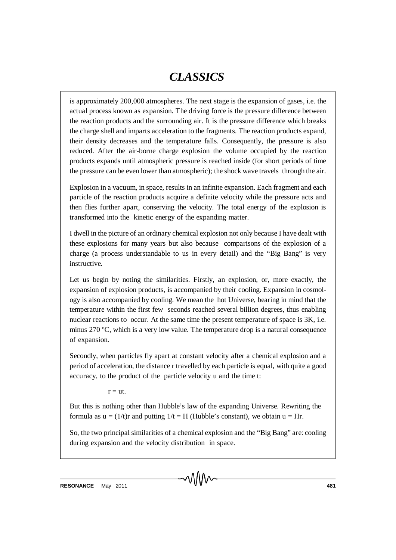is approximately 200,000 atmospheres. The next stage is the expansion of gases, i.e. the actual process known as expansion. The driving force is the pressure difference between the reaction products and the surrounding air. It is the pressure difference which breaks the charge shell and imparts acceleration to the fragments. The reaction products expand, their density decreases and the temperature falls. Consequently, the pressure is also reduced. After the air-borne charge explosion the volume occupied by the reaction products expands until atmospheric pressure is reached inside (for short periods of time the pressure can be even lower than atmospheric); the shock wave travels through the air.

Explosion in a vacuum, in space, results in an infinite expansion. Each fragment and each particle of the reaction products acquire a definite velocity while the pressure acts and then flies further apart, conserving the velocity. The total energy of the explosion is transformed into the kinetic energy of the expanding matter.

I dwell in the picture of an ordinary chemical explosion not only because I have dealt with these explosions for many years but also because comparisons of the explosion of a charge (a process understandable to us in every detail) and the "Big Bang" is very instructive.

Let us begin by noting the similarities. Firstly, an explosion, or, more exactly, the expansion of explosion products, is accompanied by their cooling. Expansion in cosmology is also accompanied by cooling. We mean the hot Universe, bearing in mind that the temperature within the first few seconds reached several billion degrees, thus enabling nuclear reactions to occur. At the same time the present temperature of space is 3K, i.e. minus  $270 \, \text{°C}$ , which is a very low value. The temperature drop is a natural consequence of expansion.

Secondly, when particles fly apart at constant velocity after a chemical explosion and a period of acceleration, the distance r travelled by each particle is equal, with quite a good accuracy, to the product of the particle velocity u and the time t:

 $r = ut$ .

But this is nothing other than Hubble's law of the expanding Universe. Rewriting the formula as  $u = (1/t)r$  and putting  $1/t = H$  (Hubble's constant), we obtain  $u = Hr$ .

So, the two principal similarities of a chemical explosion and the "Big Bang" are: cooling during expansion and the velocity distribution in space.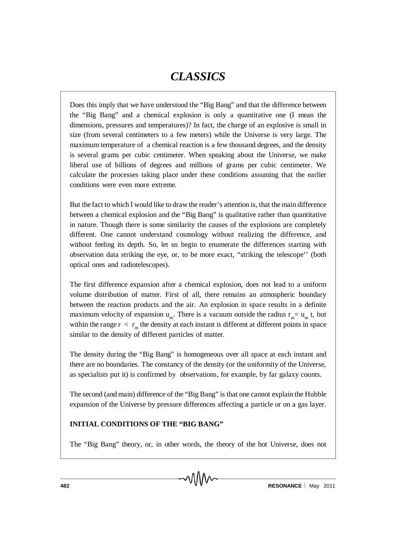Does this imply that we have understood the "Big Bang" and that the difference between the "Big Bang" and a chemical explosion is only a quantitative one (I mean the dimensions, pressures and temperatures)? In fact, the charge of an explosive is small in size (from several centimeters to a few meters) while the Universe is very large. The maximum temperature of a chemical reaction is a few thousand degrees, and the density is several grams per cubic centimeter. When speaking about the Universe, we make liberal use of billions of degrees and millions of grams per cubic centimeter. We calculate the processes taking place under these conditions assuming that the earlier conditions were even more extreme.

But the fact to which I would like to draw the reader's attention is, that the main difference between a chemical explosion and the "Big Bang" is qualitative rather than quantitative in nature. Though there is some similarity the causes of the explosions are completely different. One cannot understand cosmology without realizing the difference, and without feeling its depth. So, let us begin to enumerate the differences starting with observation data striking the eye, or, to be more exact, "striking the telescope'' (both optical ones and radiotelescopes).

The first difference expansion after a chemical explosion, does not lead to a uniform volume distribution of matter. First of all, there remains an atmospheric boundary between the reaction products and the air. An explosion in space results in a definite maximum velocity of expansion  $u_m$ . There is a vacuum outside the radius  $r_m = u_m$  t, but within the range  $r < r_m$  the density at each instant is different at different points in space similar to the density of different particles of matter.

The density during the "Big Bang" is homogeneous over all space at each instant and there are no boundaries. The constancy of the density (or the uniformity of the Universe, as specialists put it) is confirmed by observations, for example, by far galaxy counts.

The second (and main) difference of the "Big Bang" is that one cannot explain the Hubble expansion of the Universe by pressure differences affecting a particle or on a gas layer.

### **INITIAL CONDITIONS OF THE "BIG BANG"**

The "Big Bang" theory, or, in other words, the theory of the hot Universe, does not

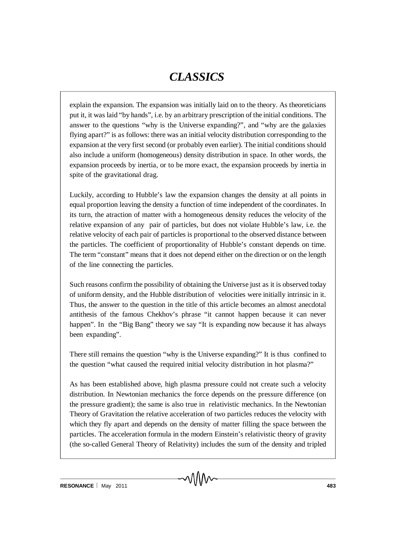explain the expansion. The expansion was initially laid on to the theory. As theoreticians put it, it was laid "by hands", i.e. by an arbitrary prescription of the initial conditions. The answer to the questions "why is the Universe expanding?", and "why are the galaxies flying apart?" is as follows: there was an initial velocity distribution corresponding to the expansion at the very first second (or probably even earlier). The initial conditions should also include a uniform (homogeneous) density distribution in space. In other words, the expansion proceeds by inertia, or to be more exact, the expansion proceeds by inertia in spite of the gravitational drag.

Luckily, according to Hubble's law the expansion changes the density at all points in equal proportion leaving the density a function of time independent of the coordinates. In its turn, the atraction of matter with a homogeneous density reduces the velocity of the relative expansion of any pair of particles, but does not violate Hubble's law, i.e. the relative velocity of each pair of particles is proportional to the observed distance between the particles. The coefficient of proportionality of Hubble's constant depends on time. The term "constant" means that it does not depend either on the direction or on the length of the line connecting the particles.

Such reasons confirm the possibility of obtaining the Universe just as it is observed today of uniform density, and the Hubble distribution of velocities were initially intrinsic in it. Thus, the answer to the question in the title of this article becomes an almost anecdotal antithesis of the famous Chekhov's phrase "it cannot happen because it can never happen". In the "Big Bang" theory we say "It is expanding now because it has always been expanding".

There still remains the question "why is the Universe expanding?" It is thus confined to the question "what caused the required initial velocity distribution in hot plasma?"

As has been established above, high plasma pressure could not create such a velocity distribution. In Newtonian mechanics the force depends on the pressure difference (on the pressure gradient); the same is also true in relativistic mechanics. In the Newtonian Theory of Gravitation the relative acceleration of two particles reduces the velocity with which they fly apart and depends on the density of matter filling the space between the particles. The acceleration formula in the modern Einstein's relativistic theory of gravity (the so-called General Theory of Relativity) includes the sum of the density and tripled